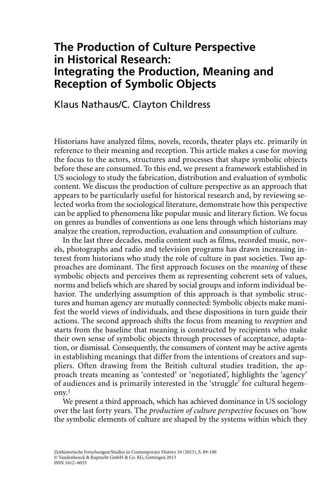# **The Production of Culture Perspective in Historical Research: Integrating the Production, Meaning and Reception of Symbolic Objects**

### Klaus Nathaus/C. Clayton Childress

Historians have analyzed films, novels, records, theater plays etc. primarily in reference to their meaning and reception. This article makes a case for moving the focus to the actors, structures and processes that shape symbolic objects before these are consumed. To this end, we present a framework established in US sociology to study the fabrication, distribution and evaluation of symbolic content. We discuss the production of culture perspective as an approach that appears to be particularly useful for historical research and, by reviewing selected works from the sociological literature, demonstrate how this perspective can be applied to phenomena like popular music and literary fiction. We focus on genres as bundles of conventions as one lens through which historians may analyze the creation, reproduction, evaluation and consumption of culture.

In the last three decades, media content such as films, recorded music, novels, photographs and radio and television programs has drawn increasing interest from historians who study the role of culture in past societies. Two approaches are dominant. The first approach focuses on the *meaning* of these symbolic objects and perceives them as representing coherent sets of values, norms and beliefs which are shared by social groups and inform individual behavior. The underlying assumption of this approach is that symbolic structures and human agency are mutually connected: Symbolic objects make manifest the world views of individuals, and these dispositions in turn guide their actions. The second approach shifts the focus from meaning to *reception* and starts from the baseline that meaning is constructed by recipients who make their own sense of symbolic objects through processes of acceptance, adaptation, or dismissal. Consequently, the consumers of content may be active agents in establishing meanings that differ from the intentions of creators and suppliers. Often drawing from the British cultural studies tradition, the approach treats meaning as 'contested' or 'negotiated', highlights the 'agency' of audiences and is primarily interested in the 'struggle' for cultural hegemony.1

We present a third approach, which has achieved dominance in US sociology over the last forty years. The *production of culture perspective* focuses on 'how the symbolic elements of culture are shaped by the systems within which they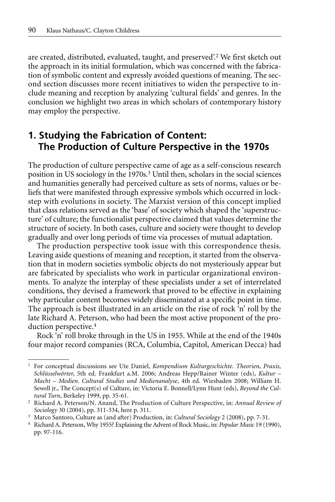are created, distributed, evaluated, taught, and preserved'.2 We first sketch out the approach in its initial formulation, which was concerned with the fabrication of symbolic content and expressly avoided questions of meaning. The second section discusses more recent initiatives to widen the perspective to include meaning and reception by analyzing 'cultural fields' and genres. In the conclusion we highlight two areas in which scholars of contemporary history may employ the perspective.

## **1. Studying the Fabrication of Content: The Production of Culture Perspective in the 1970s**

The production of culture perspective came of age as a self-conscious research position in US sociology in the 1970s.3 Until then, scholars in the social sciences and humanities generally had perceived culture as sets of norms, values or beliefs that were manifested through expressive symbols which occurred in lockstep with evolutions in society. The Marxist version of this concept implied that class relations served as the 'base' of society which shaped the 'superstructure' of culture; the functionalist perspective claimed that values determine the structure of society. In both cases, culture and society were thought to develop gradually and over long periods of time via processes of mutual adaptation.

The production perspective took issue with this correspondence thesis. Leaving aside questions of meaning and reception, it started from the observation that in modern societies symbolic objects do not mysteriously appear but are fabricated by specialists who work in particular organizational environments. To analyze the interplay of these specialists under a set of interrelated conditions, they devised a framework that proved to be effective in explaining why particular content becomes widely disseminated at a specific point in time. The approach is best illustrated in an article on the rise of rock 'n' roll by the late Richard A. Peterson, who had been the most active proponent of the production perspective.4

Rock 'n' roll broke through in the US in 1955. While at the end of the 1940s four major record companies (RCA, Columbia, Capitol, American Decca) had

<sup>1</sup> For conceptual discussions see Ute Daniel, *Kompendium Kulturgeschichte. Theorien, Praxis, Schlüsselwörter*, 5th ed. Frankfurt a.M. 2006; Andreas Hepp/Rainer Winter (eds), *Kultur – Macht – Medien. Cultural Studies und Medienanalyse*, 4th ed. Wiesbaden 2008; William H. Sewell jr., The Concept(s) of Culture, in: Victoria E. Bonnell/Lynn Hunt (eds), *Beyond the Cultural Turn*, Berkeley 1999, pp. 35-61.

<sup>2</sup> Richard A. Peterson/N. Anand, The Production of Culture Perspective, in: *Annual Review of Sociology* 30 (2004), pp. 311-334, here p. 311.

<sup>3</sup> Marco Santoro, Culture as (and after) Production, in: *Cultural Sociology* 2 (2008), pp. 7-31.

<sup>4</sup> Richard A. Peterson, Why 1955? Explaining the Advent of Rock Music, in: *Popular Music* 19 (1990), pp. 97-116.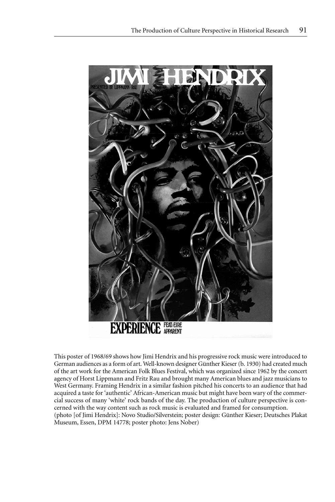

This poster of 1968/69 shows how Jimi Hendrix and his progressive rock music were introduced to German audiences as a form of art. Well-known designer Günther Kieser (b. 1930) had created much of the art work for the American Folk Blues Festival, which was organized since 1962 by the concert agency of Horst Lippmann and Fritz Rau and brought many American blues and jazz musicians to West Germany. Framing Hendrix in a similar fashion pitched his concerts to an audience that had acquired a taste for 'authentic' African-American music but might have been wary of the commercial success of many 'white' rock bands of the day. The production of culture perspective is concerned with the way content such as rock music is evaluated and framed for consumption. (photo [of Jimi Hendrix]: Novo Studio/Silverstein; poster design: Günther Kieser; Deutsches Plakat Museum, Essen, DPM 14778; poster photo: Jens Nober)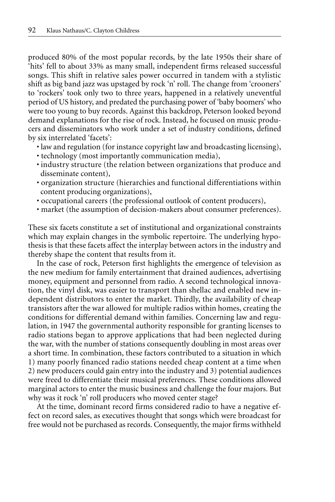produced 80% of the most popular records, by the late 1950s their share of 'hits' fell to about 33% as many small, independent firms released successful songs. This shift in relative sales power occurred in tandem with a stylistic shift as big band jazz was upstaged by rock 'n' roll. The change from 'crooners' to 'rockers' took only two to three years, happened in a relatively uneventful period of US history, and predated the purchasing power of 'baby boomers' who were too young to buy records. Against this backdrop, Peterson looked beyond demand explanations for the rise of rock. Instead, he focused on music producers and disseminators who work under a set of industry conditions, defined by six interrelated 'facets':

- law and regulation (for instance copyright law and broadcasting licensing),
- technology (most importantly communication media),
- industry structure (the relation between organizations that produce and disseminate content),
- organization structure (hierarchies and functional differentiations within content producing organizations),
- occupational careers (the professional outlook of content producers),
- market (the assumption of decision-makers about consumer preferences).

These six facets constitute a set of institutional and organizational constraints which may explain changes in the symbolic repertoire. The underlying hypothesis is that these facets affect the interplay between actors in the industry and thereby shape the content that results from it.

In the case of rock, Peterson first highlights the emergence of television as the new medium for family entertainment that drained audiences, advertising money, equipment and personnel from radio. A second technological innovation, the vinyl disk, was easier to transport than shellac and enabled new independent distributors to enter the market. Thirdly, the availability of cheap transistors after the war allowed for multiple radios within homes, creating the conditions for differential demand within families. Concerning law and regulation, in 1947 the governmental authority responsible for granting licenses to radio stations began to approve applications that had been neglected during the war, with the number of stations consequently doubling in most areas over a short time. In combination, these factors contributed to a situation in which 1) many poorly financed radio stations needed cheap content at a time when 2) new producers could gain entry into the industry and 3) potential audiences were freed to differentiate their musical preferences. These conditions allowed marginal actors to enter the music business and challenge the four majors. But why was it rock 'n' roll producers who moved center stage?

At the time, dominant record firms considered radio to have a negative effect on record sales, as executives thought that songs which were broadcast for free would not be purchased as records. Consequently, the major firms withheld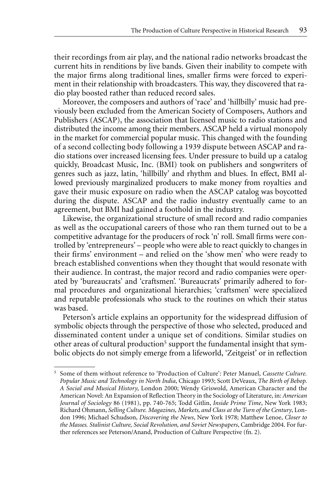their recordings from air play, and the national radio networks broadcast the current hits in renditions by live bands. Given their inability to compete with the major firms along traditional lines, smaller firms were forced to experiment in their relationship with broadcasters. This way, they discovered that radio play boosted rather than reduced record sales.

Moreover, the composers and authors of 'race' and 'hillbilly' music had previously been excluded from the American Society of Composers, Authors and Publishers (ASCAP), the association that licensed music to radio stations and distributed the income among their members. ASCAP held a virtual monopoly in the market for commercial popular music. This changed with the founding of a second collecting body following a 1939 dispute between ASCAP and radio stations over increased licensing fees. Under pressure to build up a catalog quickly, Broadcast Music, Inc. (BMI) took on publishers and songwriters of genres such as jazz, latin, 'hillbilly' and rhythm and blues. In effect, BMI allowed previously marginalized producers to make money from royalties and gave their music exposure on radio when the ASCAP catalog was boycotted during the dispute. ASCAP and the radio industry eventually came to an agreement, but BMI had gained a foothold in the industry.

Likewise, the organizational structure of small record and radio companies as well as the occupational careers of those who ran them turned out to be a competitive advantage for the producers of rock 'n' roll. Small firms were controlled by 'entrepreneurs' – people who were able to react quickly to changes in their firms' environment – and relied on the 'show men' who were ready to breach established conventions when they thought that would resonate with their audience. In contrast, the major record and radio companies were operated by 'bureaucrats' and 'craftsmen'. 'Bureaucrats' primarily adhered to formal procedures and organizational hierarchies; 'craftsmen' were specialized and reputable professionals who stuck to the routines on which their status was based.

Peterson's article explains an opportunity for the widespread diffusion of symbolic objects through the perspective of those who selected, produced and disseminated content under a unique set of conditions. Similar studies on other areas of cultural production<sup>5</sup> support the fundamental insight that symbolic objects do not simply emerge from a lifeworld, 'Zeitgeist' or in reflection

<sup>5</sup> Some of them without reference to 'Production of Culture': Peter Manuel, *Cassette Culture. Popular Music and Technology in North India*, Chicago 1993; Scott DeVeaux, *The Birth of Bebop. A Social and Musical History*, London 2000; Wendy Griswold, American Character and the American Novel: An Expansion of Reflection Theory in the Sociology of Literature, in: *American Journal of Sociology* 86 (1981), pp. 740-765; Todd Gitlin, *Inside Prime Time*, New York 1983; Richard Ohmann, *Selling Culture. Magazines, Markets, and Class at the Turn of the Century*, London 1996; Michael Schudson, *Discovering the News*, New York 1978; Matthew Lenoe, *Closer to the Masses. Stalinist Culture, Social Revolution, and Soviet Newspapers*, Cambridge 2004. For further references see Peterson/Anand, Production of Culture Perspective (fn. 2).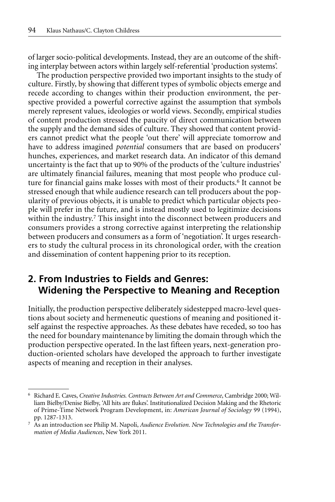of larger socio-political developments. Instead, they are an outcome of the shifting interplay between actors within largely self-referential 'production systems'.

The production perspective provided two important insights to the study of culture. Firstly, by showing that different types of symbolic objects emerge and recede according to changes within their production environment, the perspective provided a powerful corrective against the assumption that symbols merely represent values, ideologies or world views. Secondly, empirical studies of content production stressed the paucity of direct communication between the supply and the demand sides of culture. They showed that content providers cannot predict what the people 'out there' will appreciate tomorrow and have to address imagined *potential* consumers that are based on producers' hunches, experiences, and market research data. An indicator of this demand uncertainty is the fact that up to 90% of the products of the 'culture industries' are ultimately financial failures, meaning that most people who produce culture for financial gains make losses with most of their products.<sup>6</sup> It cannot be stressed enough that while audience research can tell producers about the popularity of previous objects, it is unable to predict which particular objects people will prefer in the future, and is instead mostly used to legitimize decisions within the industry.<sup>7</sup> This insight into the disconnect between producers and consumers provides a strong corrective against interpreting the relationship between producers and consumers as a form of 'negotiation'. It urges researchers to study the cultural process in its chronological order, with the creation and dissemination of content happening prior to its reception.

### **2. From Industries to Fields and Genres: Widening the Perspective to Meaning and Reception**

Initially, the production perspective deliberately sidestepped macro-level questions about society and hermeneutic questions of meaning and positioned itself against the respective approaches. As these debates have receded, so too has the need for boundary maintenance by limiting the domain through which the production perspective operated. In the last fifteen years, next-generation production-oriented scholars have developed the approach to further investigate aspects of meaning and reception in their analyses.

<sup>6</sup> Richard E. Caves, *Creative Industries. Contracts Between Art and Commerce*, Cambridge 2000; William Bielby/Denise Bielby, 'All hits are flukes'. Institutionalized Decision Making and the Rhetoric of Prime-Time Network Program Development, in: *American Journal of Sociology* 99 (1994), pp. 1287-1313.

<sup>7</sup> As an introduction see Philip M. Napoli, *Audience Evolution. New Technologies and the Transformation of Media Audiences*, New York 2011.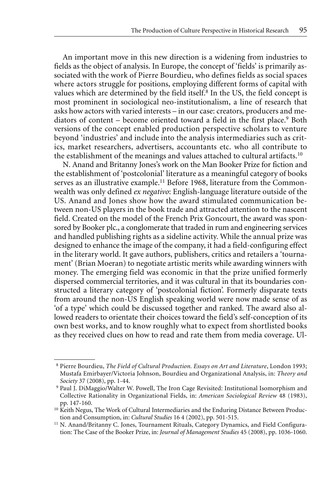An important move in this new direction is a widening from industries to fields as the object of analysis. In Europe, the concept of 'fields' is primarily associated with the work of Pierre Bourdieu, who defines fields as social spaces where actors struggle for positions, employing different forms of capital with values which are determined by the field itself.<sup>8</sup> In the US, the field concept is most prominent in sociological neo-institutionalism, a line of research that asks how actors with varied interests – in our case: creators, producers and mediators of content – become oriented toward a field in the first place.<sup>9</sup> Both versions of the concept enabled production perspective scholars to venture beyond 'industries' and include into the analysis intermediaries such as critics, market researchers, advertisers, accountants etc. who all contribute to the establishment of the meanings and values attached to cultural artifacts.10

N. Anand and Britanny Jones's work on the Man Booker Prize for fiction and the establishment of 'postcolonial' literature as a meaningful category of books serves as an illustrative example.<sup>11</sup> Before 1968, literature from the Commonwealth was only defined *ex negativo*: English-language literature outside of the US. Anand and Jones show how the award stimulated communication between non-US players in the book trade and attracted attention to the nascent field. Created on the model of the French Prix Goncourt, the award was sponsored by Booker plc., a conglomerate that traded in rum and engineering services and handled publishing rights as a sideline activity. While the annual prize was designed to enhance the image of the company, it had a field-configuring effect in the literary world. It gave authors, publishers, critics and retailers a 'tournament' (Brian Moeran) to negotiate artistic merits while awarding winners with money. The emerging field was economic in that the prize unified formerly dispersed commercial territories, and it was cultural in that its boundaries constructed a literary category of 'postcolonial fiction'. Formerly disparate texts from around the non-US English speaking world were now made sense of as 'of a type' which could be discussed together and ranked. The award also allowed readers to orientate their choices toward the field's self-conception of its own best works, and to know roughly what to expect from shortlisted books as they received clues on how to read and rate them from media coverage. Ul-

<sup>8</sup> Pierre Bourdieu, *The Field of Cultural Production. Essays on Art and Literature*, London 1993; Mustafa Emirbayer/Victoria Johnson, Bourdieu and Organizational Analysis, in: *Theory and Society* 37 (2008), pp. 1-44.

<sup>9</sup> Paul J. DiMaggio/Walter W. Powell, The Iron Cage Revisited: Institutional Isomorphism and Collective Rationality in Organizational Fields, in: *American Sociological Review* 48 (1983), pp. 147-160.

<sup>&</sup>lt;sup>10</sup> Keith Negus, The Work of Cultural Intermediaries and the Enduring Distance Between Production and Consumption, in: *Cultural Studies* 16 4 (2002), pp. 501-515.

<sup>&</sup>lt;sup>11</sup> N. Anand/Britanny C. Jones, Tournament Rituals, Category Dynamics, and Field Configuration: The Case of the Booker Prize, in: *Journal of Management Studies* 45 (2008), pp. 1036-1060.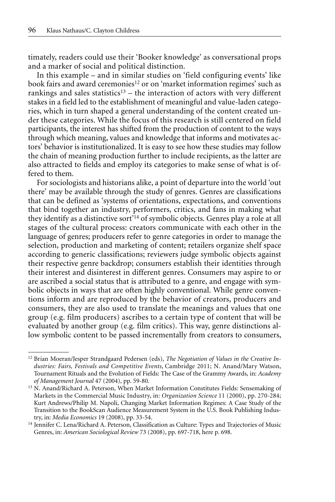timately, readers could use their 'Booker knowledge' as conversational props and a marker of social and political distinction.

In this example – and in similar studies on 'field configuring events' like book fairs and award ceremonies<sup>12</sup> or on 'market information regimes' such as rankings and sales statistics<sup>13</sup> – the interaction of actors with very different stakes in a field led to the establishment of meaningful and value-laden categories, which in turn shaped a general understanding of the content created under these categories. While the focus of this research is still centered on field participants, the interest has shifted from the production of content to the ways through which meaning, values and knowledge that informs and motivates actors' behavior is institutionalized. It is easy to see how these studies may follow the chain of meaning production further to include recipients, as the latter are also attracted to fields and employ its categories to make sense of what is offered to them.

For sociologists and historians alike, a point of departure into the world 'out there' may be available through the study of genres. Genres are classifications that can be defined as 'systems of orientations, expectations, and conventions that bind together an industry, performers, critics, and fans in making what they identify as a distinctive sort<sup>'14</sup> of symbolic objects. Genres play a role at all stages of the cultural process: creators communicate with each other in the language of genres; producers refer to genre categories in order to manage the selection, production and marketing of content; retailers organize shelf space according to generic classifications; reviewers judge symbolic objects against their respective genre backdrop; consumers establish their identities through their interest and disinterest in different genres. Consumers may aspire to or are ascribed a social status that is attributed to a genre, and engage with symbolic objects in ways that are often highly conventional. While genre conventions inform and are reproduced by the behavior of creators, producers and consumers, they are also used to translate the meanings and values that one group (e.g. film producers) ascribes to a certain type of content that will be evaluated by another group (e.g. film critics). This way, genre distinctions allow symbolic content to be passed incrementally from creators to consumers,

<sup>12</sup> Brian Moeran/Jesper Strandgaard Pedersen (eds), *The Negotiation of Values in the Creative Industries: Fairs, Festivals and Competitive Events*, Cambridge 2011; N. Anand/Mary Watson, Tournament Rituals and the Evolution of Fields: The Case of the Grammy Awards, in: *Academy of Management Journal* 47 (2004), pp. 59-80.

<sup>13</sup> N. Anand/Richard A. Peterson, When Market Information Constitutes Fields: Sensemaking of Markets in the Commercial Music Industry, in: *Organization Science* 11 (2000), pp. 270-284; Kurt Andrews/Philip M. Napoli, Changing Market Information Regimes: A Case Study of the Transition to the BookScan Audience Measurement System in the U.S. Book Publishing Industry, in: *Media Economics* 19 (2008), pp. 33-54.

<sup>&</sup>lt;sup>14</sup> Jennifer C. Lena/Richard A. Peterson, Classification as Culture: Types and Trajectories of Music Genres, in: *American Sociological Review* 73 (2008), pp. 697-718, here p. 698.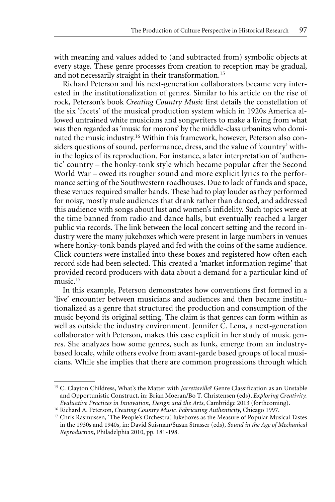with meaning and values added to (and subtracted from) symbolic objects at every stage. These genre processes from creation to reception may be gradual, and not necessarily straight in their transformation.15

Richard Peterson and his next-generation collaborators became very interested in the institutionalization of genres. Similar to his article on the rise of rock, Peterson's book *Creating Country Music* first details the constellation of the six 'facets' of the musical production system which in 1920s America allowed untrained white musicians and songwriters to make a living from what was then regarded as 'music for morons' by the middle-class urbanites who dominated the music industry.16 Within this framework, however, Peterson also considers questions of sound, performance, dress, and the value of 'country' within the logics of its reproduction. For instance, a later interpretation of 'authentic' country – the honky-tonk style which became popular after the Second World War – owed its rougher sound and more explicit lyrics to the performance setting of the Southwestern roadhouses. Due to lack of funds and space, these venues required smaller bands. These had to play louder as they performed for noisy, mostly male audiences that drank rather than danced, and addressed this audience with songs about lust and women's infidelity. Such topics were at the time banned from radio and dance halls, but eventually reached a larger public via records. The link between the local concert setting and the record industry were the many jukeboxes which were present in large numbers in venues where honky-tonk bands played and fed with the coins of the same audience. Click counters were installed into these boxes and registered how often each record side had been selected. This created a 'market information regime' that provided record producers with data about a demand for a particular kind of music.<sup>17</sup>

In this example, Peterson demonstrates how conventions first formed in a 'live' encounter between musicians and audiences and then became institutionalized as a genre that structured the production and consumption of the music beyond its original setting. The claim is that genres can form within as well as outside the industry environment. Jennifer C. Lena, a next-generation collaborator with Peterson, makes this case explicit in her study of music genres. She analyzes how some genres, such as funk, emerge from an industrybased locale, while others evolve from avant-garde based groups of local musicians. While she implies that there are common progressions through which

<sup>15</sup> C. Clayton Childress, What's the Matter with *Jarrettsville*? Genre Classification as an Unstable and Opportunistic Construct, in: Brian Moeran/Bo T. Christensen (eds), *Exploring Creativity. Evaluative Practices in Innovation, Design and the Arts*, Cambridge 2013 (forthcoming).

<sup>16</sup> Richard A. Peterson, *Creating Country Music. Fabricating Authenticity*, Chicago 1997.

<sup>&</sup>lt;sup>17</sup> Chris Rasmussen, 'The People's Orchestra'. Jukeboxes as the Measure of Popular Musical Tastes in the 1930s and 1940s, in: David Suisman/Susan Strasser (eds), *Sound in the Age of Mechanical Reproduction*, Philadelphia 2010, pp. 181-198.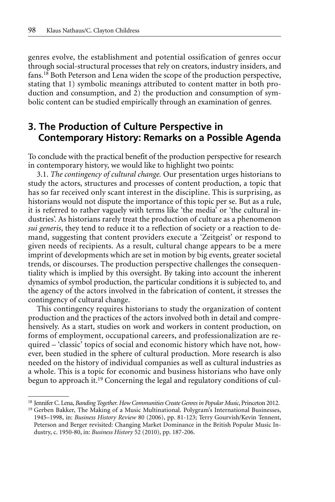genres evolve, the establishment and potential ossification of genres occur through social-structural processes that rely on creators, industry insiders, and fans.18 Both Peterson and Lena widen the scope of the production perspective, stating that 1) symbolic meanings attributed to content matter in both production and consumption, and 2) the production and consumption of symbolic content can be studied empirically through an examination of genres.

## **3. The Production of Culture Perspective in Contemporary History: Remarks on a Possible Agenda**

To conclude with the practical benefit of the production perspective for research in contemporary history, we would like to highlight two points:

3.1. *The contingency of cultural change.* Our presentation urges historians to study the actors, structures and processes of content production, a topic that has so far received only scant interest in the discipline. This is surprising, as historians would not dispute the importance of this topic per se. But as a rule, it is referred to rather vaguely with terms like 'the media' or 'the cultural industries'. As historians rarely treat the production of culture as a phenomenon *sui generis*, they tend to reduce it to a reflection of society or a reaction to demand, suggesting that content providers execute a 'Zeitgeist' or respond to given needs of recipients. As a result, cultural change appears to be a mere imprint of developments which are set in motion by big events, greater societal trends, or discourses. The production perspective challenges the consequentiality which is implied by this oversight. By taking into account the inherent dynamics of symbol production, the particular conditions it is subjected to, and the agency of the actors involved in the fabrication of content, it stresses the contingency of cultural change.

This contingency requires historians to study the organization of content production and the practices of the actors involved both in detail and comprehensively. As a start, studies on work and workers in content production, on forms of employment, occupational careers, and professionalization are required – 'classic' topics of social and economic history which have not, however, been studied in the sphere of cultural production. More research is also needed on the history of individual companies as well as cultural industries as a whole. This is a topic for economic and business historians who have only begun to approach it.19 Concerning the legal and regulatory conditions of cul-

<sup>18</sup> Jennifer C. Lena, *Banding Together. How Communities Create Genres in Popular Music*, Princeton 2012.

<sup>19</sup> Gerben Bakker, The Making of a Music Multinational. Polygram's International Businesses, 1945–1998, in: *Business History Review* 80 (2006), pp. 81-123; Terry Gourvish/Kevin Tennent, Peterson and Berger revisited: Changing Market Dominance in the British Popular Music Industry, c. 1950-80, in: *Business History* 52 (2010), pp. 187-206.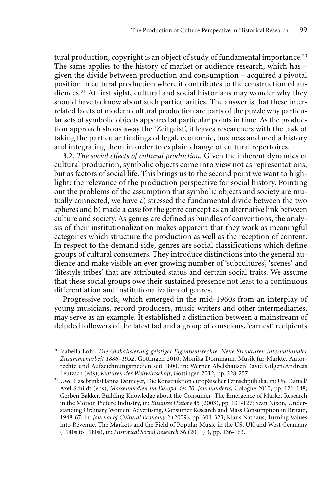tural production, copyright is an object of study of fundamental importance.<sup>20</sup> The same applies to the history of market or audience research, which has – given the divide between production and consumption – acquired a pivotal position in cultural production where it contributes to the construction of audiences.21 At first sight, cultural and social historians may wonder why they should have to know about such particularities. The answer is that these interrelated facets of modern cultural production are parts of the puzzle why particular sets of symbolic objects appeared at particular points in time. As the production approach shoos away the 'Zeitgeist', it leaves researchers with the task of taking the particular findings of legal, economic, business and media history and integrating them in order to explain change of cultural repertoires.

3.2. *The social effects of cultural production.* Given the inherent dynamics of cultural production, symbolic objects come into view not as representations, but as factors of social life. This brings us to the second point we want to highlight: the relevance of the production perspective for social history. Pointing out the problems of the assumption that symbolic objects and society are mutually connected, we have a) stressed the fundamental divide between the two spheres and b) made a case for the genre concept as an alternative link between culture and society. As genres are defined as bundles of conventions, the analysis of their institutionalization makes apparent that they work as meaningful categories which structure the production as well as the reception of content. In respect to the demand side, genres are social classifications which define groups of cultural consumers. They introduce distinctions into the general audience and make visible an ever growing number of 'subcultures', 'scenes' and 'lifestyle tribes' that are attributed status and certain social traits. We assume that these social groups owe their sustained presence not least to a continuous differentiation and institutionalization of genres.

Progressive rock, which emerged in the mid-1960s from an interplay of young musicians, record producers, music writers and other intermediaries, may serve as an example. It established a distinction between a mainstream of deluded followers of the latest fad and a group of conscious, 'earnest' recipients

<sup>20</sup> Isabella Löhr, *Die Globalisierung geistiger Eigentumsrechte. Neue Strukturen internationaler Zusammenarbeit 1886–1952*, Göttingen 2010; Monika Dommann, Musik für Märkte. Autorrechte und Aufzeichnungsmedien seit 1800, in: Werner Abelshauser/David Gilgen/Andreas Leutzsch (eds), *Kulturen der Weltwirtschaft*, Göttingen 2012, pp. 228-257.

<sup>21</sup> Uwe Hasebrink/Hanna Domeyer, Die Konstruktion europäischer Fernsehpublika, in: Ute Daniel/ Axel Schildt (eds), *Massenmedien im Europa des 20. Jahrhunderts*, Cologne 2010, pp. 121-148; Gerben Bakker, Building Knowledge about the Consumer: The Emergence of Market Research in the Motion Picture Industry, in: *Business History* 45 (2003), pp. 101-127; Sean Nixon, Understanding Ordinary Women: Advertising, Consumer Research and Mass Consumption in Britain, 1948-67, in: *Journal of Cultural Economy* 2 (2009), pp. 301-323; Klaus Nathaus, Turning Values into Revenue. The Markets and the Field of Popular Music in the US, UK and West Germany (1940s to 1980s), in: *Historical Social Research* 36 (2011) 3, pp. 136-163.